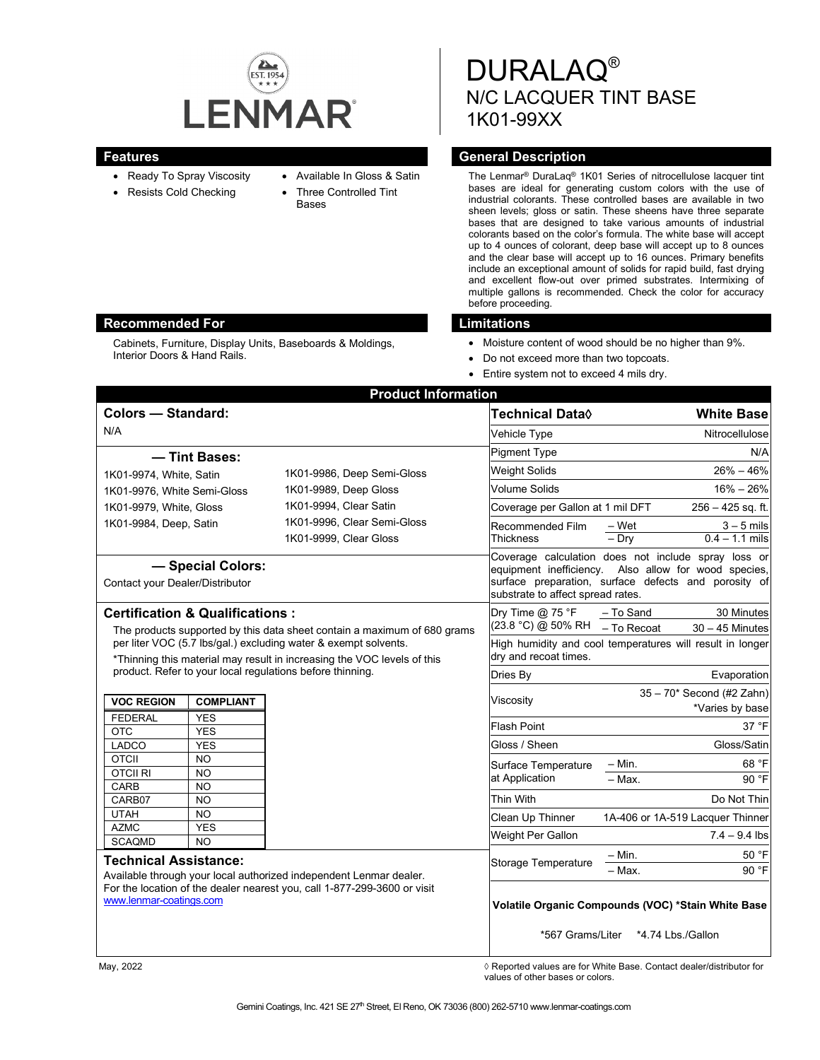

- Available In Gloss & Satin
- Ready To Spray Viscosity • Resists Cold Checking
- Three Controlled Tint
- Bases

DURALAQ® N/C LACQUER TINT BASE 1K01-99XX

## **Features General Description**

The Lenmar® DuraLaq® 1K01 Series of nitrocellulose lacquer tint bases are ideal for generating custom colors with the use of industrial colorants. These controlled bases are available in two sheen levels; gloss or satin. These sheens have three separate bases that are designed to take various amounts of industrial colorants based on the color's formula. The white base will accept up to 4 ounces of colorant, deep base will accept up to 8 ounces and the clear base will accept up to 16 ounces. Primary benefits include an exceptional amount of solids for rapid build, fast drying and excellent flow-out over primed substrates. Intermixing of multiple gallons is recommended. Check the color for accuracy before proceeding.

- Moisture content of wood should be no higher than 9%.
- Do not exceed more than two topcoats.
- Entire system not to exceed 4 mils dry.

| <b>Colors - Standard:</b>                                                                                                                                                                               |                                  |                                                                                | Technical Data◊                   | <b>White Base</b>                                                                                                                                                   |
|---------------------------------------------------------------------------------------------------------------------------------------------------------------------------------------------------------|----------------------------------|--------------------------------------------------------------------------------|-----------------------------------|---------------------------------------------------------------------------------------------------------------------------------------------------------------------|
| N/A                                                                                                                                                                                                     |                                  |                                                                                | Vehicle Type                      | Nitrocellulose                                                                                                                                                      |
|                                                                                                                                                                                                         |                                  |                                                                                | <b>Pigment Type</b>               | N/A                                                                                                                                                                 |
| - Tint Bases:                                                                                                                                                                                           |                                  |                                                                                | <b>Weight Solids</b>              | $26\% - 46\%$                                                                                                                                                       |
| 1K01-9974, White, Satin                                                                                                                                                                                 |                                  | 1K01-9986, Deep Semi-Gloss                                                     |                                   | $16\% - 26\%$                                                                                                                                                       |
| 1K01-9976, White Semi-Gloss                                                                                                                                                                             |                                  | 1K01-9989, Deep Gloss<br>1K01-9994, Clear Satin<br>1K01-9996, Clear Semi-Gloss | Volume Solids                     |                                                                                                                                                                     |
| 1K01-9979, White, Gloss                                                                                                                                                                                 |                                  |                                                                                | Coverage per Gallon at 1 mil DFT  | $256 - 425$ sq. ft.                                                                                                                                                 |
| 1K01-9984, Deep, Satin                                                                                                                                                                                  |                                  |                                                                                | Recommended Film                  | – Wet<br>$3 - 5$ mils                                                                                                                                               |
|                                                                                                                                                                                                         |                                  | 1K01-9999, Clear Gloss                                                         | Thickness                         | $-$ Dry<br>$0.4 - 1.1$ mils                                                                                                                                         |
| - Special Colors:<br>Contact your Dealer/Distributor                                                                                                                                                    |                                  |                                                                                | substrate to affect spread rates. | Coverage calculation does not include spray loss or<br>equipment inefficiency. Also allow for wood species,<br>surface preparation, surface defects and porosity of |
| <b>Certification &amp; Qualifications:</b>                                                                                                                                                              |                                  |                                                                                | Dry Time @ 75 °F                  | 30 Minutes<br>- To Sand                                                                                                                                             |
| The products supported by this data sheet contain a maximum of 680 grams                                                                                                                                |                                  |                                                                                | (23.8 °C) @ 50% RH                | - To Recoat<br>$30 - 45$ Minutes                                                                                                                                    |
| per liter VOC (5.7 lbs/gal.) excluding water & exempt solvents.<br>*Thinning this material may result in increasing the VOC levels of this<br>product. Refer to your local regulations before thinning. |                                  |                                                                                | dry and recoat times.             | High humidity and cool temperatures will result in longer                                                                                                           |
|                                                                                                                                                                                                         |                                  |                                                                                | Dries By                          | Evaporation                                                                                                                                                         |
| <b>VOC REGION</b>                                                                                                                                                                                       | <b>COMPLIANT</b>                 |                                                                                | Viscosity                         | $35-70*$ Second (#2 Zahn)<br>*Varies by base                                                                                                                        |
| <b>FEDERAL</b>                                                                                                                                                                                          | <b>YES</b>                       |                                                                                |                                   |                                                                                                                                                                     |
| <b>OTC</b>                                                                                                                                                                                              | <b>YES</b>                       |                                                                                | <b>Flash Point</b>                | 37 °F                                                                                                                                                               |
| LADCO                                                                                                                                                                                                   | <b>YES</b>                       |                                                                                | Gloss / Sheen                     | Gloss/Satin                                                                                                                                                         |
| <b>OTCII</b>                                                                                                                                                                                            | N <sub>O</sub>                   |                                                                                | Surface Temperature               | 68 °F<br>- Min.                                                                                                                                                     |
| <b>OTCIL RI</b><br>CARB                                                                                                                                                                                 | N <sub>O</sub>                   |                                                                                | at Application                    | 90 °F<br>$-$ Max.                                                                                                                                                   |
| CARB07                                                                                                                                                                                                  | N <sub>O</sub><br>N <sub>O</sub> |                                                                                | <b>Thin With</b>                  | Do Not Thin                                                                                                                                                         |
| <b>UTAH</b>                                                                                                                                                                                             | N <sub>O</sub>                   |                                                                                | Clean Up Thinner                  | 1A-406 or 1A-519 Lacquer Thinner                                                                                                                                    |
| <b>AZMC</b>                                                                                                                                                                                             | <b>YES</b>                       |                                                                                |                                   |                                                                                                                                                                     |
| <b>SCAQMD</b>                                                                                                                                                                                           | N <sub>O</sub>                   |                                                                                | Weight Per Gallon                 | $7.4 - 9.4$ lbs                                                                                                                                                     |
| <b>Technical Assistance:</b>                                                                                                                                                                            |                                  |                                                                                | Storage Temperature               | $-$ Min.<br>50 °F                                                                                                                                                   |
| Available through your local authorized independent Lenmar dealer.                                                                                                                                      |                                  |                                                                                |                                   | 90 °F<br>- Max.                                                                                                                                                     |
| For the location of the dealer nearest you, call 1-877-299-3600 or visit<br>www.lenmar-coatings.com                                                                                                     |                                  |                                                                                |                                   | Volatile Organic Compounds (VOC) *Stain White Base                                                                                                                  |
|                                                                                                                                                                                                         |                                  |                                                                                |                                   | *567 Grams/Liter *4.74 Lbs./Gallon                                                                                                                                  |

May, 2022 *May, 2022 Reported values are for White Base. Contact dealer/distributor for* values of other bases or colors.

# **Recommended For Limitations**

Cabinets, Furniture, Display Units, Baseboards & Moldings, Interior Doors & Hand Rails.